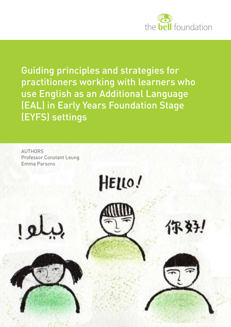

Guiding principles and strategies for practitioners working with learners who use English as an Additional Language (EAL) in Early Years Foundation Stage (EYFS) settings

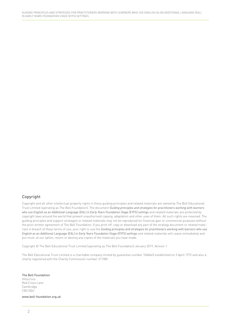### Copyright

Copyright and all other intellectual property rights in these guiding principles and related materials are owned by The Bell Educational Trust Limited (operating as The Bell Foundation). The document *Guiding principles and strategies for practitioners working with learners who use English as an Additional Language (EAL) in Early Years Foundation Stage (EYFS) settings* and related materials are protected by copyright laws around the world that prevent unauthorised copying, adaptation and other uses of them. All such rights are reserved. The guiding principles and support strategies or related materials may not be reproduced for financial gain or commercial purposes without the prior written agreement of The Bell Foundation. If you print off, copy or download any part of the strategy document or related materials in breach of these terms of use, your right to use the *Guiding principles and strategies for practitioners working with learners who use English as an Additional Language (EAL) in Early Years Foundation Stage (EYFS) settings* and related materials will cease immediately and you must, at our option, return or destroy any copies of the materials you have made.

Copyright © The Bell Educational Trust Limited (operating as The Bell Foundation) January 2019, Version 1

The Bell Educational Trust Limited is a charitable company limited by guarantee number 1048465 established on 5 April 1972 and also a charity registered with the Charity Commission number 311585

The Bell Foundation Hillscross Red Cross Lane Cambridge CB2 0QU

www.bell-foundation.org.uk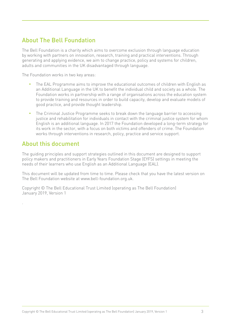# About The Bell Foundation

The Bell Foundation is a charity which aims to overcome exclusion through language education by working with partners on innovation, research, training and practical interventions. Through generating and applying evidence, we aim to change practice, policy and systems for children, adults and communities in the UK disadvantaged through language.

The Foundation works in two key areas:

- The EAL Programme aims to improve the educational outcomes of children with English as an Additional Language in the UK to benefit the individual child and society as a whole. The Foundation works in partnership with a range of organisations across the education system to provide training and resources in order to build capacity, develop and evaluate models of good practice, and provide thought leadership.
- The Criminal Justice Programme seeks to break down the language barrier to accessing justice and rehabilitation for individuals in contact with the criminal justice system for whom English is an additional language. In 2017 the Foundation developed a long-term strategy for its work in the sector, with a focus on both victims and offenders of crime. The Foundation works through interventions in research, policy, practice and service support.

# About this document

.

The guiding principles and support strategies outlined in this document are designed to support policy makers and practitioners in Early Years Foundation Stage (EYFS) settings in meeting the needs of their learners who use English as an Additional Language (EAL).

This document will be updated from time to time. Please check that you have the latest version on The Bell Foundation website at www.bell-foundation.org.uk.

Copyright © The Bell Educational Trust Limited (operating as The Bell Foundation) January 2019, Version 1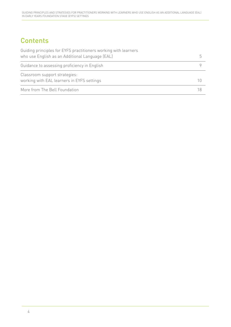# **Contents**

| Guiding principles for EYFS practitioners working with learners |  |
|-----------------------------------------------------------------|--|
| who use English as an Additional Language (EAL)                 |  |
| Guidance to assessing proficiency in English                    |  |
| Classroom support strategies:                                   |  |
| working with EAL learners in EYFS settings                      |  |
| More from The Bell Foundation                                   |  |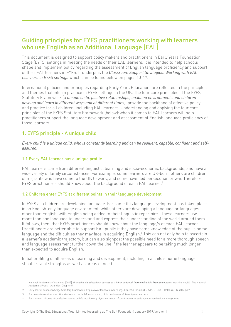# Guiding principles for EYFS practitioners working with learners who use English as an Additional Language (EAL)

This document is designed to support policy makers and practitioners in Early Years Foundation Stage (EYFS) settings in meeting the needs of their EAL learners. It is intended to help schools shape and implement policy regarding the assessment of English language proficiency and support of their EAL learners in EYFS. It underpins the *Classroom Support Strategies: Working with EAL Learners in EYFS settings* which can be found below on pages 10-17.

International policies and principles regarding Early Years Education<sup>1</sup> are reflected in the principles and themes that inform practice in EYFS settings in the UK. The four core principles of the EYFS Statutory Framework (*a unique child, positive relationships, enabling environments and children develop and learn in different ways and at different times*), provide the backbone of effective policy and practice for all children, including EAL learners. Understanding and applying the four core principles of the EYFS Statutory Framework (below)<sup>2</sup> when it comes to EAL learners will help practitioners support the language development and assessment of English language proficiency of those learners.

## 1. EYFS principle - A unique child

*Every child is a unique child, who is constantly learning and can be resilient, capable, confident and selfassured.*

### 1.1 Every EAL learner has a unique profile

EAL learners come from different linguistic, learning and socio-economic backgrounds, and have a wide variety of family circumstances. For example, some learners are UK-born, others are children of migrants who have come to the UK to work, and some have fled persecution or war. Therefore, EYFS practitioners should know about the background of each EAL learner.<sup>3</sup>

### 1.2 Children enter EYFS at different points in their language development

In EYFS all children are developing language. For some this language development has taken place in an English-only language environment, while others are developing a language or languages other than English, with English being added to their linguistic repertoire. These learners use more than one language to understand and express their understanding of the world around them. It follows, then, that EYFS practitioners should know about the language/s of each EAL learner. Practitioners are better able to support EAL pupils if they have some knowledge of the pupil's home language and the difficulties they may face in acquiring English.<sup>4</sup> This can not only help to ascertain a learner's academic trajectory, but can also signpost the possible need for a more thorough speech and language assessment further down the line if the learner appears to be taking much longer than expected to acquire English.

Initial profiling of all areas of learning and development, including in a child's home language, should reveal strengths as well as areas of need.

<sup>1</sup> National Academies of Sciences. (2017). *Promoting the educational success of children and youth learning English: Promising futures*. Washington, DC: The National Academies Press. (Attention: Chapter 5)

<sup>2</sup> Early Years Foundation Stage Statutory Framework: https://www.foundationyears.org.uk/files/2017/03/EYFS\_STATUTORY\_FRAMEWORK\_2017.pdf?

<sup>3</sup> For points to consider see https://ealresources.bell-foundation.org.uk/school-leaders/diversity-eal-learners

<sup>4</sup> For more on this, see https://ealresources.bell-foundation.org.uk/school-leaders/countries-cultures-languages-and-education-systems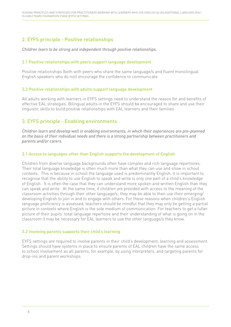# 2. EYFS principle - Positive relationships

*Children learn to be strong and independent through positive relationships.*

### 2.1 Positive relationships with peers support language development

Positive relationships (both with peers who share the same language/s and fluent monolingual English speakers who do not) encourage the confidence to communicate.

### 2.2 Positive relationships with adults support language development

All adults working with learners in EYFS settings need to understand the reason for and benefits of effective EAL strategies. Bilingual adults in the EYFS should be encouraged to share and use their linguistic skills to build positive relationships with EAL learners and their families.

# 3. EYFS principle - Enabling environments

*Children learn and develop well in enabling environments, in which their experiences are pre-planned on the basis of their individual needs and there is a strong partnership between practitioners and parents and/or carers.*

### 3.1 Access to languages other than English supports the development of English

Children from diverse language backgrounds often have complex and rich language repertoires. Their total language knowledge is often much more than what they can use and show in school contexts. This is because in school the language used is predominantly English. It is important to recognise that the ability to use English to speak and write is only one part of a child's knowledge of English. It is often the case that they can understand more spoken and written English than they can speak and write. At the same time, if children are provided with access to the meaning of the classroom activities through their other language/s, they may be able to then use their emerging/ developing English to join in and to engage with others. For these reasons when children's English language proficiency is assessed, teachers should be mindful that they may only be getting a partial picture in contexts where English is the sole medium of communication. For teachers to get a fuller picture of their pupils' total language repertoire and their understanding of what is going on in the classroom it may be necessary for EAL learners to use the other language/s they know.

### 3.2 Involving parents supports their child's learning

EYFS settings are required to involve parents in their child's development, learning and assessment. Settings should have systems in place to ensure parents of EAL children have the same access to school involvement as all parents, for example, by using interpreters, and targeting parents for drop-ins and parent workshops.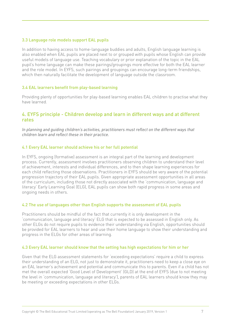### 3.3 Language role models support EAL pupils

In addition to having access to home-language buddies and adults, English language learning is also enabled when EAL pupils are placed next to or grouped with pupils whose English can provide useful models of language use. Teaching vocabulary or prior explanation of the topic in the EAL pupil's home language can make these pairings/groupings more effective for both the EAL learner and the role model. In EYFS, such pairings and groupings can encourage long-term friendships, which then naturally facilitate the development of language outside the classroom.

### 3.4 EAL learners benefit from play-based learning

Providing plenty of opportunities for play-based learning enables EAL children to practise what they have learned.

### 4. EYFS principle - Children develop and learn in different ways and at different rates

*In planning and guiding children's activities, practitioners must reflect on the different ways that children learn and reflect these in their practice.* 

### 4.1 Every EAL learner should achieve his or her full potential

In EYFS, ongoing (formative) assessment is an integral part of the learning and development process. Currently, assessment involves practitioners observing children to understand their level of achievement, interests and individual differences, and to then shape learning experiences for each child reflecting those observations. Practitioners in EYFS should be very aware of the potential progression trajectory of their EAL pupils. Given appropriate assessment opportunities in all areas of the curriculum, including those not directly associated with the 'communication, language and literacy' Early Learning Goal (ELG), EAL pupils can show both rapid progress in some areas and ongoing needs in others.

#### 4.2 The use of languages other than English supports the assessment of EAL pupils

Practitioners should be mindful of the fact that currently it is only development in the 'communication, language and literacy' ELG that is expected to be assessed in English only. As other ELGs do not require pupils to evidence their understanding via English, opportunities should be provided for EAL learners to hear and use their home language to show their understanding and progress in the ELGs for other areas of learning.

#### 4.3 Every EAL learner should know that the setting has high expectations for him or her

Given that the ELG assessment statements for 'exceeding expectations' require a child to express their understanding of an ELG, not just to demonstrate it, practitioners need to keep a close eye on an EAL learner's achievement and potential and communicate this to parents. Even if a child has not met the overall expected 'Good Level of Development' (GLD) at the end of EYFS (due to not meeting the level in 'communication, language and literacy'), parents of EAL learners should know they may be meeting or exceeding expectations in other ELGs.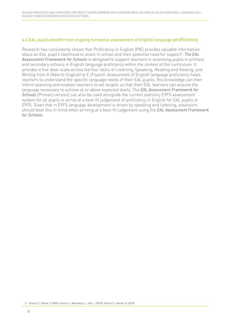### 4.4 EAL pupils benefit from ongoing formative assessment of English language proficiency

Research has consistently shown that Proficiency in English (PIE) provides valuable information about an EAL pupil's likelihood to attain in school and their potential need for support<sup>5</sup>. *The EAL Assessment Framework for Schools* is designed to support teachers in assessing pupils in primary and secondary schools in English language proficiency within the context of the curriculum. It provides a five-level scale across the four skills of Listening, Speaking, Reading and Viewing, and Writing from A (New to English) to E (Fluent). Assessment of English language proficiency helps teachers to understand the specific language needs of their EAL pupils; this knowledge can then inform planning and enables teachers to set targets so that their EAL learners can acquire the language necessary to achieve at or above expected levels. The *EAL Assessment Framework for Schools* (Primary version) can also be used alongside the current statutory EYFS assessment system for all pupils to arrive at a best-fit judgement of proficiency in English for EAL pupils in EYFS. Given that in EYFS language development is driven by speaking and listening, assessors should bear this in mind when arriving at a best-fit judgement using the *EAL Assessment Framework for Schools*.

<sup>5</sup> Strand, S., Demie, F (2005); Strand, S., Malmberg, L., Hall, J. (2015), Strand, S., Hessel, A. (2018)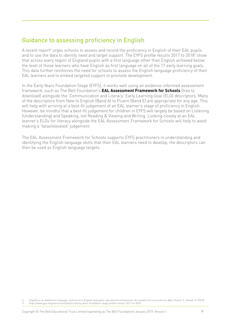# Guidance to assessing proficiency in English

A recent report<sup>6</sup> urges schools to assess and record the proficiency in English of their EAL pupils and to use the data to identify need and target support. The EYFS profile results 2017 to 2018<sup>7</sup> show that across every region of England pupils with a first language other than English achieved below the level of those learners who have English as first language on all of the 17 early learning goals. This data further reinforces the need for schools to assess the English language proficiency of their EAL learners and to embed targeted support to promote development.

In the Early Years Foundation Stage (EYFS), it works well using an evidence-informed assessment framework, such as The Bell Foundation's **EAL Assessment Framework for Schools** (free to download) alongside the 'Communication and Literacy' Early Learning Goal (ELG) descriptors. Many of the descriptors from New to English (Band A) to Fluent (Band E) are appropriate for any age. This will help with arriving at a best-fit judgement of an EAL learner's stage of proficiency in English. However, be mindful that a best-fit judgement for children in EYFS will largely be based on Listening (Understanding) and Speaking, not Reading & Viewing and Writing. Looking closely at an EAL learner's ELGs for literacy alongside the EAL Assessment Framework for Schools will help to avoid making a 'false/elevated' judgement.

The EAL Assessment Framework for Schools supports EYFS practitioners in understanding and identifying the English language skills that their EAL learners need to develop; the descriptors can then be used as English language targets.

<sup>6</sup> English as an Additional Language, proficiency in English and pupils' educational achievement: An analysis of Local Authority data, Strand, S., Hessel, A. (2018) 7 https://www.gov.uk/government/statistics/early-years-foundation-stage-profile-results-2017-to-2018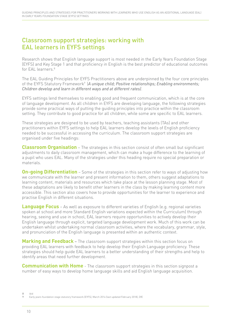# Classroom support strategies: working with EAL learners in EYFS settings

Research shows that English language support is most needed in the Early Years Foundation Stage (EYFS) and Key Stage 1 and that proficiency in English is the best predictor of educational outcomes for EAL learners.<sup>8</sup>

The EAL Guiding Principles for EYFS Practitioners above are underpinned by the four core principles of the EYFS Statutory Framework<sup>9</sup> (*A unique child; Positive relationships; Enabling environments; Children develop and learn in different ways and at different rates)*.

EYFS settings lend themselves to enabling good and frequent communication, which is at the core of language development. As all children in EYFS are developing language, the following strategies provide some practical ways of putting the guiding principles into practice within the classroom setting. They contribute to good practice for all children, while some are specific to EAL learners.

These strategies are designed to be used by teachers, teaching assistants (TAs) and other practitioners within EYFS settings to help EAL learners develop the levels of English proficiency needed to be successful in accessing the curriculum. The classroom support strategies are organised under five headings:

**Classroom Organisation** – The strategies in this section consist of often small but significant adjustments to daily classroom management, which can make a huge difference to the learning of a pupil who uses EAL. Many of the strategies under this heading require no special preparation or materials.

**On-going Differentiation** – Some of the strategies in this section refer to ways of adjusting how we communicate with the learner and present information to them, others suggest adaptations to learning content, materials and resources which take place at the lesson planning stage. Most of these adaptations are likely to benefit other learners in the class by making learning content more accessible. This section also covers how to provide opportunities for the learner to experience and practise English in different situations.

**Language Focus** – As well as exposure to different varieties of English (e.g. regional varieties spoken at school and more Standard English variations expected within the Curriculum) through hearing, seeing and use in school, EAL learners require opportunities to actively develop their English language through explicit, targeted language development work. Much of this work can be undertaken whilst undertaking normal classroom activities, where the vocabulary, grammar, style, and pronunciation of the English language is presented within an authentic context.

**Marking and Feedback** – The classroom support strategies within this section focus on providing EAL learners with feedback to help develop their English Language proficiency. These strategies should help guide EAL learners to a better understanding of their strengths and help to identify areas that need further development.

**Communication with Home** - The classroom support strategies in this section signpost a number of easy ways to develop home language skills and aid English language acquisition.

<sup>8</sup> ibid 9 Early years foundation stage statutory framework (EYFS), March 2014 (last updated February 2018), DfE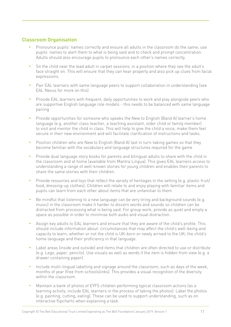## **Classroom Organisation**

- Pronounce pupils' names correctly and ensure all adults in the classroom do the same; use pupils' names to alert them to what is being said and to check and prompt concentration. Adults should also encourage pupils to pronounce each other's names correctly.
- Sit the child near the lead adult in carpet sessions, in a position where they see the adult's face straight on. This will ensure that they can hear properly and also pick up clues from facial expressions.
- Pair EAL learners with same language peers to support collaboration in understanding (see EAL Nexus for more on this)
- Provide EAL learners with frequent, daily opportunities to work and play alongside peers who are supportive English language role models - this needs to be balanced with same language pairing
- Provide opportunities for someone who speaks the New to English (Band A) learner's home language (e.g. another class teacher, a teaching assistant, older child or family member) to visit and mentor the child in class. This will help to give the child a voice, make them feel secure in their new environment and will facilitate clarification of instructions and tasks.
- Position children who are New to English (Band A) last in turn-taking games so that they become familiar with the vocabulary and language structures required for the game
- Provide dual language story books for parents and bilingual adults to share with the child in the classroom and at home (available from Mantra Lingua). This gives EAL learners access to understanding a range of well-known stories for young children and enables their parents to share the same stories with their children.
- Provide resources and toys that reflect the variety of heritages in the setting (e.g. plastic fruit/ food, dressing-up clothes). Children will relate to and enjoy playing with familiar items and pupils can learn from each other about items that are unfamiliar to them.
- Be mindful that listening to a new language can be very tiring and background sounds (e.g. music) in the classroom make it harder to discern words and sounds so children can be distracted from processing what is being said. For group work, provide as quiet and empty a space as possible in order to minimise both audio and visual distraction.
- Assign key adults to EAL learners and ensure that they are aware of the child's profile. This should include information about: circumstances that may affect the child's well-being and capacity to learn; whether or not the child is UK-born or newly arrived to the UK; the child's home language and their proficiency in that language.
- Label areas (inside and outside) and items that children are often directed to use or distribute (e.g. Lego, paper, pencils). Use visuals as well as words if the item is hidden from view (e.g. a drawer containing paper).
- Include multi-lingual labelling and signage around the classroom, such as days of the week, months of year (free from schoolslinks). This provides a visual recognition of the diversity within the classroom.
- Maintain a bank of photos of EYFS children performing typical classroom actions (as a learning activity, include EAL learners in the process of taking the photos). Label the photos (e.g. painting, cutting, eating). These can be used to support understanding, such as on interactive flipcharts when explaining a task.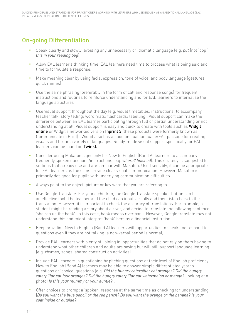# On-going Differentiation

- Speak clearly and slowly, avoiding any unnecessary or idiomatic language (e.g. *put* (not 'pop') *this in your reading bag*)
- Allow EAL learner's thinking time. EAL learners need time to process what is being said and time to formulate a response.
- Make meaning clear by using facial expression, tone of voice, and body language (gestures, quick mimes)
- Use the same phrasing (preferably in the form of call and response songs) for frequent instructions and routines to reinforce understanding and for EAL learners to internalise the language structures
- Use visual support throughout the day (e.g. visual timetables; instructions; to accompany teacher talk; story telling; word mats; flashcards; labelling). Visual support can make the difference between an EAL learner participating through full or partial understanding or not understanding at all. Visual support is easy and quick to create with tools such as Widgit online or Widgit's networked version Inprint 3 (these products were formerly known as Communicate in Print). Widgit also has an add on dual language/EAL package for creating visuals and text in a variety of languages. Ready-made visual support specifically for EAL learners can be found on Twinkl.
- Consider using Makaton signs only for New to English (Band A) learners to accompany frequently spoken questions/instructions (e.g. *where? finished*). This strategy is suggested for settings that already use and are familiar with Makaton. Used sensibly, it can be appropriate for EAL learners as the signs provide clear visual communication. However, Makaton is primarily designed for pupils with underlying communication difficulties.
- Always point to the object, picture or key word that you are referring to
- Use Google Translate. For young children, the Google Translate speaker button can be an effective tool. The teacher and the child can input verbally and then listen back to the translation. However, it is important to check the accuracy of translations. For example, a student might be reading a story about a river, and decide to translate the following sentence 'she ran up the bank'. In this case, bank means river bank. However, Google translate may not understand this and might interpret 'bank' here as a financial institution.
- Keep providing New to English (Band A) learners with opportunities to speak and respond to questions even if they are not talking (a non-verbal period is normal)
- Provide EAL learners with plenty of 'joining in' opportunities that do not rely on them having to understand what other children and adults are saying but will still support language learning (e.g. rhymes, songs, shared construction activities)
- Include EAL learners in questioning by pitching questions at their level of English proficiency. New to English (Band A) learners may be able to answer simple differentiated yes/no questions or 'choice' questions (e.g. *Did the hungry caterpillar eat oranges? Did the hungry caterpillar eat four oranges? Did the hungry caterpillar eat watermelon or mango?* (looking at a photo) *Is this your mummy or your auntie?*).
- Offer choices to prompt a 'spoken' response at the same time as checking for understanding (*Do you want the blue pencil or the red pencil? Do you want the orange or the banana? Is your coat inside or outside?*)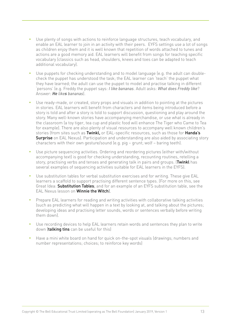- Use plenty of songs with actions to reinforce language structures, teach vocabulary, and enable an EAL learner to join in an activity with their peers. EYFS settings use a lot of songs as children enjoy them and it is well known that repetition of words attached to tunes and actions are a good memory aid. EAL learners will benefit from songs for teaching specific vocabulary (classics such as head, shoulders, knees and toes can be adapted to teach additional vocabulary).
- Use puppets for checking understanding and to model language (e.g. the adult can doublecheck the puppet has understood the task; the EAL learner can 'teach' the puppet what they have learned; the adult can use the puppet to model and practise talking in different 'persons' (e.g. Freddy the puppet says: *I like bananas*. Adult asks: *What does Freddy like*? Answer: *He likes bananas*).
- Use ready-made, or created, story props and visuals in addition to pointing at the pictures in stories. EAL learners will benefit from characters and items being introduced before a story is told and after a story is told to support discussion, questioning and play around the story. Many well-known stories have accompanying merchandise, or use what is already in the classroom (a toy tiger, tea cup and plastic food will enhance The Tiger who Came to Tea for example). There are also plenty of visual resources to accompany well known children's stories (from sites such as Twinkl, or EAL-specific resources, such as those for Handa's **Surprise** on EAL Nexus). Participation and understanding are also aided by associating story characters with their own gesture/sound (e.g. pig – grunt; wolf – baring teeth).
- Use picture sequencing activities. Ordering and reordering pictures (either with/without accompanying text) is good for checking understanding, recounting routines, retelling a story, practising verbs and tenses and generating talk in pairs and groups. (Twinkl has several examples of sequencing activities suitable for EAL learners in the EYFS).
- Use substitution tables for verbal substitution exercises and for writing. These give EAL learners a scaffold to support practising different sentence types. (For more on this, see Great Idea: Substitution Tables; and for an example of an EYFS substitution table, see the EAL Nexus lesson on Winnie the Witch).
- Prepare EAL learners for reading and writing activities with collaborative talking activities (such as predicting what will happen in a text by looking at, and talking about the pictures; developing ideas and practising letter sounds, words or sentences verbally before writing them down).
- Use recording devices to help EAL learners retain words and sentences they plan to write down (talking tins can be useful for this)
- Have a mini white board on hand for quick on-the-spot visuals (drawings; numbers and number representations; choices; to reinforce key words)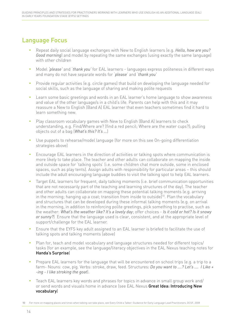# Language Focus

- • Repeat daily social language exchanges with New to English learners (e.g. *Hello, how are you? Good morning*) and model by repeating the same exchanges (using exactly the same language) with other children
- Model 'please' and 'thank you' for EAL learners languages express politeness in different ways and many do not have separate words for '*please*' and '*thank you'*
- Provide regular activities (e.g. circle games) that build on developing the language needed for social skills, such as the language of sharing and making polite requests
- Learn some basic greetings and words in an EAL learner's home language to show awareness and value of the other language/s in a child's life. Parents can help with this and it may reassure a New to English (Band A) EAL learner that even teachers sometimes find it hard to learn something new.
- Play classroom vocabulary games with New to English (Band A) learners to check understanding, e.g. Find/Where are? (find a red pencil; Where are the water cups?); pulling objects out of a bag (*What's this? It's ...*)
- Use puppets to rehearse/model language (for more on this see On-going differentiation strategies above)
- Encourage EAL learners in the direction of activities or talking spots where communication is more likely to take place. The teacher and other adults can collaborate on mapping the inside and outside space for 'talking spots' (i.e. some children chat more outside, some in enclosed spaces, such as play tents). Assign adults with responsibility for particular areas – this should include the adult encouraging language buddies to visit the talking spot to help EAL learners.
- Target EAL learners for frequent, daily talking moments (i.e. brief communication opportunities that are not necessarily part of the teaching and learning structures of the day). The teacher and other adults can collaborate on mapping these potential talking moments (e.g. arriving in the morning; hanging up a coat; transition from inside to outside)<sup>10</sup>. Plan the vocabulary and structures that can be developed during these informal talking moments (e.g. on arrival in the morning, in addition to reinforcing polite greetings, pick something to practise, such as the weather: *What's the weather like? It's a lovely day*; offer choices - *Is it cold or hot? Is it snowy or sunny?*) Ensure that the language used is clear, consistent, and at the appropriate level of support/challenge for the EAL learner.
- Ensure that the EYFS key adult assigned to an EAL learner is briefed to facilitate the use of talking spots and talking moments (above)
- Plan for, teach and model vocabulary and language structures needed for different topics/ tasks (for an example, see the language/literacy objectives in the EAL Nexus teaching notes for Handa's Surprise)
- Prepare EAL learners for the language that will be encountered on school trips (e.g. a trip to a farm- Nouns: cow, pig. Verbs: stroke, draw, feed. Structures*: Do you want to ….? Let's …. I Like + -ing - I like stroking the goat*).
- Teach EAL learners key words and phrases for topics in advance in small group work and/ or send words and visuals home in advance (see EAL Nexus Great Idea: Introducing New vocabulary)
- 10 For more on mapping places and times when talking can take place, see Every Child a Talker: Guidance for Early Language Lead Practitioners, DCSF, 2008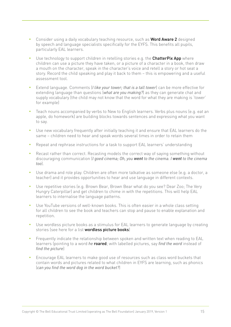- Consider using a daily vocabulary teaching resource, such as **Word Aware 2** designed by speech and language specialists specifically for the EYFS. This benefits all pupils, particularly EAL learners.
- Use technology to support children in retelling stories e.g. the **ChatterPix App** where children can use a picture they have taken, or a picture of a character in a book, then draw a mouth on the character, speak in the character's voice and retell a story or hot seat a story. Record the child speaking and play it back to them – this is empowering and a useful assessment tool.
- Extend language. Comments (*I like your tower; that is a tall tower*) can be more effective for extending language than questions (*what are you making?*) as they can generate chat and supply vocabulary (the child may not know that the word for what they are making is 'tower' for example)
- Teach nouns accompanied by verbs to New to English learners. Verbs plus nouns (e.g. eat an apple, do homework) are building blocks towards sentences and expressing what you want to say.
- Use new vocabulary frequently after initially teaching it and ensure that EAL learners do the same – children need to hear and speak words several times in order to retain them
- Repeat and rephrase instructions for a task to support EAL learners' understanding
- Recast rather than correct. Recasting models the correct way of saying something without discouraging communication (*I goed cinema; Oh, you went to the cinema. I went to the cinema too*).
- Use drama and role play. Children are often more talkative as someone else (e.g. a doctor, a teacher) and it provides opportunities to hear and use language in different contexts.
- Use repetitive stories (e.g. Brown Bear, Brown Bear what do you see? Dear Zoo; The Very Hungry Caterpillar) and get children to chime in with the repetitions. This will help EAL learners to internalise the language patterns.
- Use YouTube versions of well-known books. This is often easier in a whole class setting for all children to see the book and teachers can stop and pause to enable explanation and repetition.
- Use wordless picture books as a stimulus for EAL learners to generate language by creating stories (see here for a list wordless picture books)
- Frequently indicate the relationship between spoken and written text when reading to EAL learners (pointing to a word *he* roared; with labelled pictures, say *find the word* instead of *find the picture*)
- Encourage EAL learners to make good use of resources such as class word buckets that contain words and pictures related to what children in EYFS are learning, such as phonics (*can you find the word dog in the word bucket?*)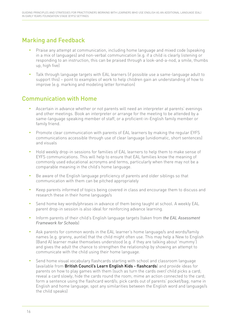# Marking and Feedback

- Praise any attempt at communication, including home language and mixed code (speaking in a mix of languages) and non-verbal communication (e.g. if a child is clearly listening or responding to an instruction, this can be praised through a look-and-a-nod, a smile, thumbs up, high five)
- Talk through language targets with EAL learners (if possible use a same-language adult to support this) – point to examples of work to help children gain an understanding of how to improve (e.g. marking and modeling letter formation)

# Communication with Home

- Ascertain in advance whether or not parents will need an interpreter at parents' evenings and other meetings. Book an interpreter or arrange for the meeting to be attended by a same-language speaking member of staff, or a proficient-in-English family member or family friend.
- Promote clear communication with parents of EAL learners by making the regular EYFS communications accessible through use of clear language (unidiomatic, short sentences) and visuals
- Hold weekly drop-in sessions for families of EAL learners to help them to make sense of EYFS communications. This will help to ensure that EAL families know the meaning of commonly used educational acronyms and terms, particularly when there may not be a comparable meaning in the child's home language.
- Be aware of the English language proficiency of parents and older siblings so that communication with them can be pitched appropriately
- Keep parents informed of topics being covered in class and encourage them to discuss and research these in their home language/s
- Send home key words/phrases in advance of them being taught at school. A weekly EAL parent drop-in session is also ideal for reinforcing advance learning.
- Inform parents of their child's English language targets (taken from *the EAL Assessment Framework for Schools*)
- Ask parents for common words in the EAL learner's home language/s and words/family names (e.g. granny, auntie) that the child might often use. This may help a New to English (Band A) learner make themselves understood (e.g. if they are talking about 'mummy') and gives the adult the chance to strengthen the relationship by showing an attempt to communicate with the child using their home language.
- Send home visual vocabulary flashcards starting with school and classroom language (available from British Council's Learn English Kids - flashcards) and provide ideas for parents on how to play games with them (such as turn the cards over/ child picks a card; reveal a card slowly; hide the cards round the room; mime an action connected to the card; form a sentence using the flashcard word/s; pick cards out of parents' pocket/bag; name in English and home language; spot any similarities between the English word and language/s the child speaks)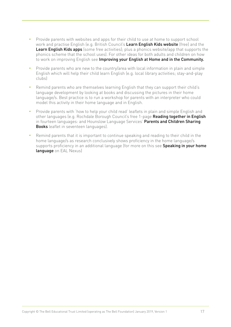- Provide parents with websites and apps for their child to use at home to support school work and practise English (e.g. British Council's Learn English Kids website (free) and the Learn English Kids apps (some free activities); plus a phonics website/app that supports the phonics scheme that the school uses). For other ideas for both adults and children on how to work on improving English see Improving your English at Home and in the Community.
- Provide parents who are new to the country/area with local information in plain and simple English which will help their child learn English (e.g. local library activities; stay-and-play clubs)
- Remind parents who are themselves learning English that they can support their child's language development by looking at books and discussing the pictures in their home language/s. Best practice is to run a workshop for parents with an interpreter who could model this activity in their home language and in English.
- Provide parents with 'how to help your child read' leaflets in plain and simple English and other languages (e.g. Rochdale Borough Council's free 1-page Reading together in English in fourteen languages: and Hounslow Language Services' Parents and Children Sharing **Books** leaflet in seventeen languages).
- Remind parents that it is important to continue speaking and reading to their child in the home language/s as research conclusively shows proficiency in the home language/s supports proficiency in an additional language (for more on this see Speaking in your home language on EAL Nexus)